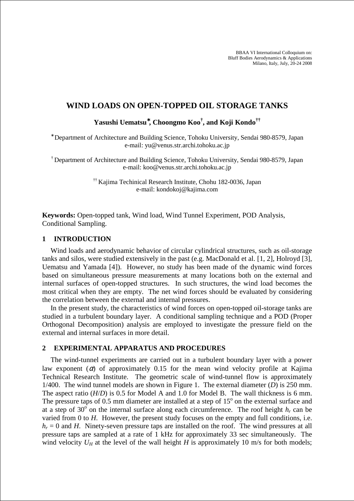BBAA VI International Colloquium on: Bluff Bodies Aerodynamics & Applications Milano, Italy, July, 20-24 2008

# **WIND LOADS ON OPEN-TOPPED OIL STORAGE TANKS**

**Yasushi Uematsu**<sup>∗</sup>**, Choongmo Koo† , and Koji Kondo††**

∗ Department of Architecture and Building Science, Tohoku University, Sendai 980-8579, Japan e-mail: yu@venus.str.archi.tohoku.ac.jp

† Department of Architecture and Building Science, Tohoku University, Sendai 980-8579, Japan e-mail: koo@venus.str.archi.tohoku.ac.jp

> †† Kajima Techinical Research Institute, Chohu 182-0036, Japan e-mail: kondokoj@kajima.com

**Keywords:** Open-topped tank, Wind load, Wind Tunnel Experiment, POD Analysis, Conditional Sampling.

## **1 INTRODUCTION**

Wind loads and aerodynamic behavior of circular cylindrical structures, such as oil-storage tanks and silos, were studied extensively in the past (e.g. MacDonald et al. [1, 2], Holroyd [3], Uematsu and Yamada [4]). However, no study has been made of the dynamic wind forces based on simultaneous pressure measurements at many locations both on the external and internal surfaces of open-topped structures. In such structures, the wind load becomes the most critical when they are empty. The net wind forces should be evaluated by considering the correlation between the external and internal pressures.

In the present study, the characteristics of wind forces on open-topped oil-storage tanks are studied in a turbulent boundary layer. A conditional sampling technique and a POD (Proper Orthogonal Decomposition) analysis are employed to investigate the pressure field on the external and internal surfaces in more detail.

## **2 EXPERIMENTAL APPARATUS AND PROCEDURES**

The wind-tunnel experiments are carried out in a turbulent boundary layer with a power law exponent ( $\alpha$ ) of approximately 0.15 for the mean wind velocity profile at Kajima Technical Research Institute. The geometric scale of wind-tunnel flow is approximately 1/400. The wind tunnel models are shown in Figure 1. The external diameter (*D*) is 250 mm. The aspect ratio (*H*/*D*) is 0.5 for Model A and 1.0 for Model B. The wall thickness is 6 mm. The pressure taps of  $0.5$  mm diameter are installed at a step of  $15^{\circ}$  on the external surface and at a step of 30 $\degree$  on the internal surface along each circumference. The roof height  $h_r$  can be varied from 0 to *H*. However, the present study focuses on the empty and full conditions, i.e.  $h_r = 0$  and *H*. Ninety-seven pressure taps are installed on the roof. The wind pressures at all pressure taps are sampled at a rate of 1 kHz for approximately 33 sec simultaneously. The wind velocity  $U_H$  at the level of the wall height *H* is approximately 10 m/s for both models;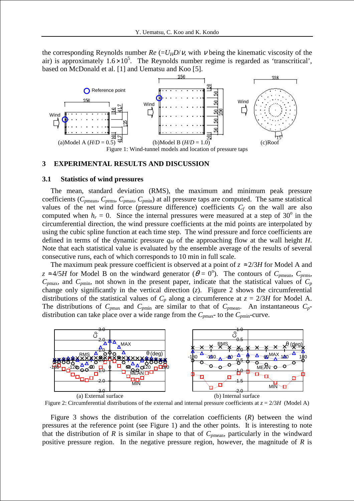the corresponding Reynolds number  $Re = U_H D/v$ , with v being the kinematic viscosity of the air) is approximately  $1.6 \times 10^5$ . The Reynolds number regime is regarded as 'transcritical', based on McDonald et al. [1] and Uematsu and Koo [5].



#### **3 EXPERIMENTAL RESULTS AND DISCUSSION**

#### **3.1 Statistics of wind pressures**

The mean, standard deviation (RMS), the maximum and minimum peak pressure coefficients ( $C_{pmean}$ ,  $C_{pmax}$ ,  $C_{pmin}$ ) at all pressure taps are computed. The same statistical values of the net wind force (pressure difference) coefficients  $C_f$  on the wall are also computed when  $h_r = 0$ . Since the internal pressures were measured at a step of 30<sup>°</sup> in the circumferential direction, the wind pressure coefficients at the mid points are interpolated by using the cubic spline function at each time step. The wind pressure and force coefficients are defined in terms of the dynamic pressure  $q<sub>H</sub>$  of the approaching flow at the wall height *H*. Note that each statistical value is evaluated by the ensemble average of the results of several consecutive runs, each of which corresponds to 10 min in full scale.

The maximum peak pressure coefficient is observed at a point of  $z \approx 2/3H$  for Model A and  $z \approx 4/5H$  for Model B on the windward generator ( $\theta = 0^{\circ}$ ). The contours of  $C_{pmean}$ ,  $C_{prms}$ ,  $C_{pmax}$ , and  $C_{pmin}$ , not shown in the present paper, indicate that the statistical values of  $C_p$ change only significantly in the vertical direction (*z*). Figure 2 shows the circumferential distributions of the statistical values of  $C_p$  along a circumference at  $z = 2/3H$  for Model A. The distributions of  $C_{pmax}$  and  $C_{pmin}$  are similar to that of  $C_{pmean}$ . An instantaneous  $C_p$ distribution can take place over a wide range from the  $C_{pmax}$ - to the  $C_{pmin}$ -curve.



Figure 2: Circumferential distributions of the external and internal pressure coefficients at  $z = 2/3H$  (Model A)

Figure 3 shows the distribution of the correlation coefficients (*R*) between the wind pressures at the reference point (see Figure 1) and the other points. It is interesting to note that the distribution of  $R$  is similar in shape to that of  $C_{pmean}$ , particularly in the windward positive pressure region. In the negative pressure region, however, the magnitude of *R* is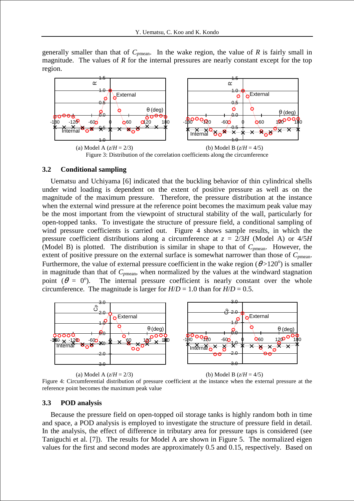generally smaller than that of  $C_{pmean}$ . In the wake region, the value of  $R$  is fairly small in magnitude. The values of *R* for the internal pressures are nearly constant except for the top region.



### **3.2 Conditional sampling**

Uematsu and Uchiyama [6] indicated that the buckling behavior of thin cylindrical shells under wind loading is dependent on the extent of positive pressure as well as on the magnitude of the maximum pressure. Therefore, the pressure distribution at the instance when the external wind pressure at the reference point becomes the maximum peak value may be the most important from the viewpoint of structural stability of the wall, particularly for open-topped tanks. To investigate the structure of pressure field, a conditional sampling of wind pressure coefficients is carried out. Figure 4 shows sample results, in which the pressure coefficient distributions along a circumference at  $z = 2/3H$  (Model A) or  $4/5H$ (Model B) is plotted. The distribution is similar in shape to that of  $C_{pmean}$ . However, the extent of positive pressure on the external surface is somewhat narrower than those of  $C_{pmean}$ . Furthermore, the value of external pressure coefficient in the wake region  $(\theta > 120^{\circ})$  is smaller in magnitude than that of *Cp*mean, when normalized by the values at the windward stagnation point  $(\theta = 0^{\circ})$ . The internal pressure coefficient is nearly constant over the whole circumference. The magnitude is larger for  $H/D = 1.0$  than for  $H/D = 0.5$ .



(a) Model A  $(z/H = 2/3)$  (b) Model B  $(z/H = 4/5)$ 

Figure 4: Circumferential distribution of pressure coefficient at the instance when the external pressure at the reference point becomes the maximum peak value

## **3.3 POD analysis**

Because the pressure field on open-topped oil storage tanks is highly random both in time and space, a POD analysis is employed to investigate the structure of pressure field in detail. In the analysis, the effect of difference in tributary area for pressure taps is considered (see Taniguchi et al. [7]). The results for Model A are shown in Figure 5. The normalized eigen values for the first and second modes are approximately 0.5 and 0.15, respectively. Based on